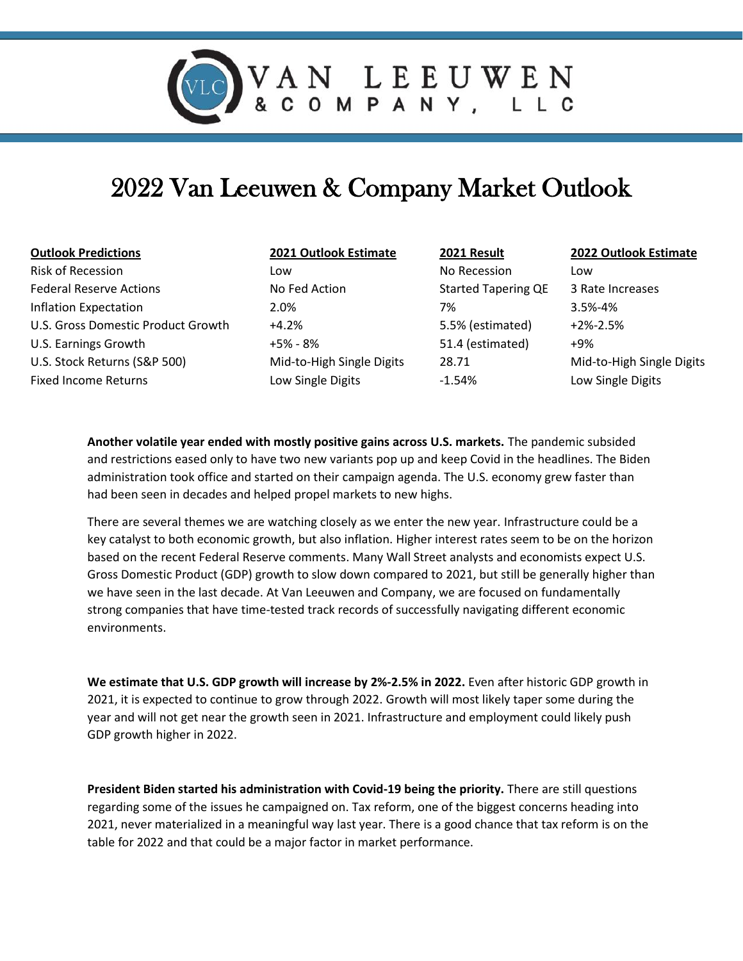

## 2022 Van Leeuwen & Company Market Outlook

| <b>Outlook Predictions</b>         | 2021 Outlook Estimate     | 2021 Result                | <b>2022 Outlook Estimate</b> |
|------------------------------------|---------------------------|----------------------------|------------------------------|
| <b>Risk of Recession</b>           | Low                       | No Recession               | Low                          |
| <b>Federal Reserve Actions</b>     | No Fed Action             | <b>Started Tapering QE</b> | 3 Rate Increases             |
| Inflation Expectation              | 2.0%                      | 7%                         | $3.5\% - 4\%$                |
| U.S. Gross Domestic Product Growth | $+4.2%$                   | 5.5% (estimated)           | $+2% -2.5%$                  |
| U.S. Earnings Growth               | +5% - 8%                  | 51.4 (estimated)           | +9%                          |
| U.S. Stock Returns (S&P 500)       | Mid-to-High Single Digits | 28.71                      | Mid-to-High Single Digits    |
| <b>Fixed Income Returns</b>        | Low Single Digits         | $-1.54%$                   | Low Single Digits            |
|                                    |                           |                            |                              |

**Another volatile year ended with mostly positive gains across U.S. markets.** The pandemic subsided and restrictions eased only to have two new variants pop up and keep Covid in the headlines. The Biden administration took office and started on their campaign agenda. The U.S. economy grew faster than had been seen in decades and helped propel markets to new highs.

There are several themes we are watching closely as we enter the new year. Infrastructure could be a key catalyst to both economic growth, but also inflation. Higher interest rates seem to be on the horizon based on the recent Federal Reserve comments. Many Wall Street analysts and economists expect U.S. Gross Domestic Product (GDP) growth to slow down compared to 2021, but still be generally higher than we have seen in the last decade. At Van Leeuwen and Company, we are focused on fundamentally strong companies that have time-tested track records of successfully navigating different economic environments.

**We estimate that U.S. GDP growth will increase by 2%-2.5% in 2022.** Even after historic GDP growth in 2021, it is expected to continue to grow through 2022. Growth will most likely taper some during the year and will not get near the growth seen in 2021. Infrastructure and employment could likely push GDP growth higher in 2022.

**President Biden started his administration with Covid-19 being the priority.** There are still questions regarding some of the issues he campaigned on. Tax reform, one of the biggest concerns heading into 2021, never materialized in a meaningful way last year. There is a good chance that tax reform is on the table for 2022 and that could be a major factor in market performance.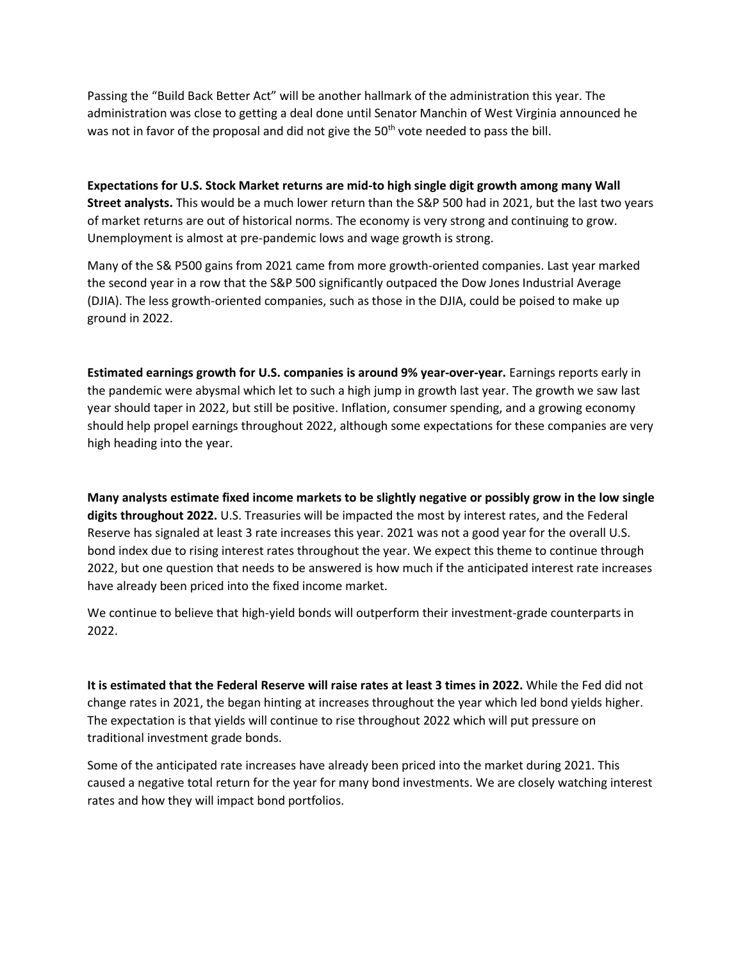Passing the "Build Back Better Act" will be another hallmark of the administration this year. The administration was close to getting a deal done until Senator Manchin of West Virginia announced he was not in favor of the proposal and did not give the 50<sup>th</sup> vote needed to pass the bill.

**Expectations for U.S. Stock Market returns are mid-to high single digit growth among many Wall Street analysts.** This would be a much lower return than the S&P 500 had in 2021, but the last two years of market returns are out of historical norms. The economy is very strong and continuing to grow. Unemployment is almost at pre-pandemic lows and wage growth is strong.

Many of the S& P500 gains from 2021 came from more growth-oriented companies. Last year marked the second year in a row that the S&P 500 significantly outpaced the Dow Jones Industrial Average (DJIA). The less growth-oriented companies, such as those in the DJIA, could be poised to make up ground in 2022.

**Estimated earnings growth for U.S. companies is around 9% year-over-year.** Earnings reports early in the pandemic were abysmal which let to such a high jump in growth last year. The growth we saw last year should taper in 2022, but still be positive. Inflation, consumer spending, and a growing economy should help propel earnings throughout 2022, although some expectations for these companies are very high heading into the year.

**Many analysts estimate fixed income markets to be slightly negative or possibly grow in the low single digits throughout 2022.** U.S. Treasuries will be impacted the most by interest rates, and the Federal Reserve has signaled at least 3 rate increases this year. 2021 was not a good year for the overall U.S. bond index due to rising interest rates throughout the year. We expect this theme to continue through 2022, but one question that needs to be answered is how much if the anticipated interest rate increases have already been priced into the fixed income market.

We continue to believe that high-yield bonds will outperform their investment-grade counterparts in 2022.

**It is estimated that the Federal Reserve will raise rates at least 3 times in 2022.** While the Fed did not change rates in 2021, the began hinting at increases throughout the year which led bond yields higher. The expectation is that yields will continue to rise throughout 2022 which will put pressure on traditional investment grade bonds.

Some of the anticipated rate increases have already been priced into the market during 2021. This caused a negative total return for the year for many bond investments. We are closely watching interest rates and how they will impact bond portfolios.